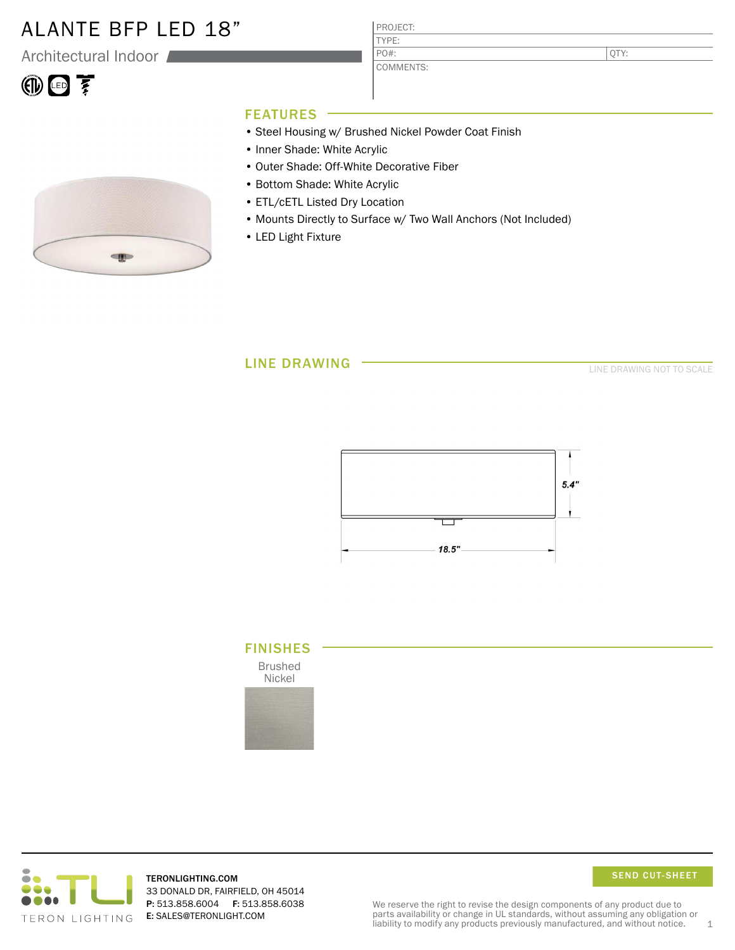## ALANTE BFP LED 18"

Architectural Indoor

| l<br>7.<br>т.<br>۱,<br>J |  |  |
|--------------------------|--|--|
|--------------------------|--|--|

#### PROJECT: TYPE:

COMMENTS: PO#:

QTY:

## FEATURES

- Steel Housing w/ Brushed Nickel Powder Coat Finish
- Inner Shade: White Acrylic
- Outer Shade: Off-White Decorative Fiber
- Bottom Shade: White Acrylic
- ETL/cETL Listed Dry Location
- Mounts Directly to Surface w/ Two Wall Anchors (Not Included)
- LED Light Fixture

## LINE DRAWING

LINE DRAWING NOT TO SCALE







TERONLIGHTING.COM 33 DONALD DR, FAIRFIELD, OH 45014 P: 513.858.6004 F: 513.858.6038 E: SALES@TERONLIGHT.COM



We reserve the right to revise the design components of any product due to parts availability or change in UL standards, without assuming any obligation or liability to modify any products previously manufactured, and without notice.  $1$